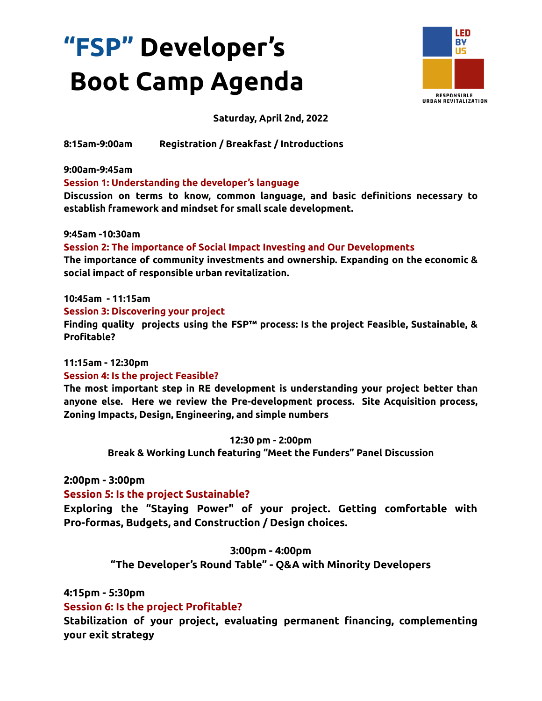# **"FSP" Developer's Boot Camp Agenda**



# **Saturday, April 2nd, 2022**

**8:15am-9:00am Registration / Breakfast / Introductions**

**9:00am-9:45am**

## **Session 1: Understanding the developer's language**

**Discussion on terms to know, common language, and basic definitions necessary to establish framework and mindset for small scale development.**

#### **9:45am -10:30am**

## **Session 2: The importance of Social Impact Investing and Our Developments**

**The importance of community investments and ownership. Expanding on the economic & social impact of responsible urban revitalization.**

#### **10:45am - 11:15am**

#### **Session 3: Discovering your project**

**Finding quality projects using the FSP™ process: Is the project Feasible, Sustainable, & Profitable?**

# **11:15am - 12:30pm**

## **Session 4: Is the project Feasible?**

**The most important step in RE development is understanding your project better than anyone else. Here we review the Pre-development process. Site Acquisition process, Zoning Impacts, Design, Engineering, and simple numbers**

#### **12:30 pm - 2:00pm**

**Break & Working Lunch featuring "Meet the Funders" Panel Discussion**

# **2:00pm - 3:00pm**

## **Session 5: Is the project Sustainable?**

**Exploring the "Staying Power" of your project. Getting comfortable with Pro-formas, Budgets, and Construction / Design choices.**

## **3:00pm - 4:00pm**

**"The Developer's Round Table" - Q&A with Minority Developers**

# **4:15pm - 5:30pm**

# **Session 6: Is the project Profitable?**

**Stabilization of your project, evaluating permanent financing, complementing your exit strategy**